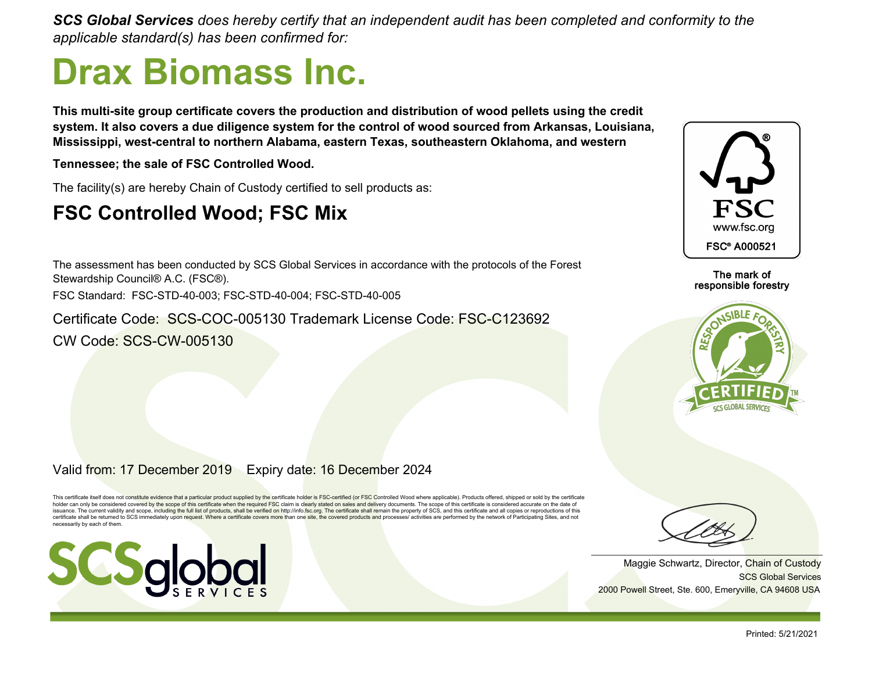*SCS Global Services does hereby certify that an independent audit has been completed and conformity to the applicable standard(s) has been confirmed for:*

# **Drax Biomass Inc.**

**This multi-site group certificate covers the production and distribution of wood pellets using the credit system. It also covers a due diligence system for the control of wood sourced from Arkansas, Louisiana, Mississippi, west-central to northern Alabama, eastern Texas, southeastern Oklahoma, and western**

**Tennessee; the sale of FSC Controlled Wood.**

The facility(s) are hereby Chain of Custody certified to sell products as:

### **FSC Controlled Wood; FSC Mix**

The assessment has been conducted by SCS Global Services in accordance with the protocols of the Forest Stewardship Council® A.C. (FSC®). FSC Standard: FSC-STD-40-003; FSC-STD-40-004; FSC-STD-40-005

Certificate Code: SCS-COC-005130 Trademark License Code: FSC-C123692 CW Code: SCS-CW-005130



#### The mark of responsible forestry



#### Valid from: 17 December 2019 Expiry date: 16 December 2024

This certificate itself does not constitute evidence that a particular product supplied by the certificate holder is FSC-certified (or FSC Controlled Wood where applicable). Products offered, shipped or sold by the certifi issuance. The current validity and scope, including the full list of products, shall be verified on http://info.fsc.org. The certificate shall remain the property of SCS, and this certificate and all copies or reproduction certificate shall be returned to SCS immediately upon request. Where a certificate covers more than one site, the covered products and processes/ activities are performed by the network of Participating Sites, and not necessarily by each of them.





SCS Global Services Maggie Schwartz, Director, Chain of Custody 2000 Powell Street, Ste. 600, Emeryville, CA 94608 USA

Printed: 5/21/2021